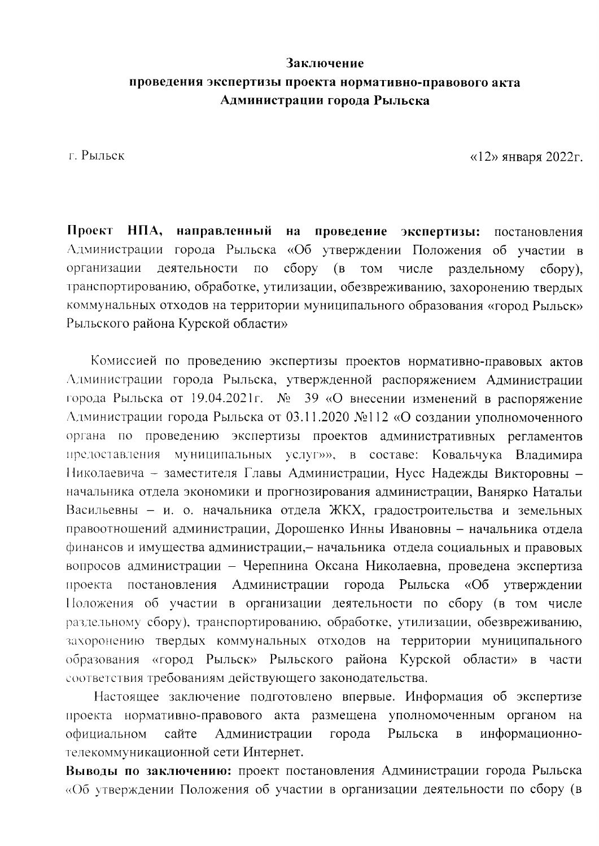## Заключение проведения экспертизы проекта нормативно-правового акта Администрации города Рыльска

г. Рыльск

«12» января 2022г.

Проект НПА, направленный на проведение экспертизы: постановления Администрации города Рыльска «Об утверждении Положения об участии в организации деятельности по сбору (в том числе раздельному  $c6$ opy), транспортированию, обработке, утилизации, обезвреживанию, захоронению твердых коммунальных отходов на территории муниципального образования «город Рыльск» Рыльского района Курской области»

Комиссией по проведению экспертизы проектов нормативно-правовых актов Администрации города Рыльска, утвержденной распоряжением Администрации города Рыльска от 19.04.2021г. № 39 «О внесении изменений в распоряжение Администрации города Рыльска от 03.11.2020 №112 «О создании уполномоченного органа по проведению экспертизы проектов административных регламентов муниципальных услуг»», в составе: Ковальчука Владимира предоставления Николаевича - заместителя Главы Администрации, Нусс Надежды Викторовны начальника отдела экономики и прогнозирования администрации, Ванярко Натальи Васильевны - и. о. начальника отдела ЖКХ, градостроительства и земельных правоотношений администрации, Дорошенко Инны Ивановны - начальника отдела финансов и имущества администрации, - начальника отдела социальных и правовых вопросов администрации - Черепнина Оксана Николаевна, проведена экспертиза проекта постановления Администрации города Рыльска «Об утверждении Положения об участии в организации деятельности по сбору (в том числе раздельному сбору), транспортированию, обработке, утилизации, обезвреживанию, захоронению твердых коммунальных отходов на территории муниципального образования «город Рыльск» Рыльского района Курской области» в части соответствия требованиям действующего законодательства.

Настоящее заключение подготовлено впервые. Информация об экспертизе проекта нормативно-правового акта размещена уполномоченным органом на официальном сайте Администрации информационногорода Рыльска  $\overline{B}$ телекоммуникационной сети Интернет.

Выводы по заключению: проект постановления Администрации города Рыльска «Об утверждении Положения об участии в организации деятельности по сбору (в